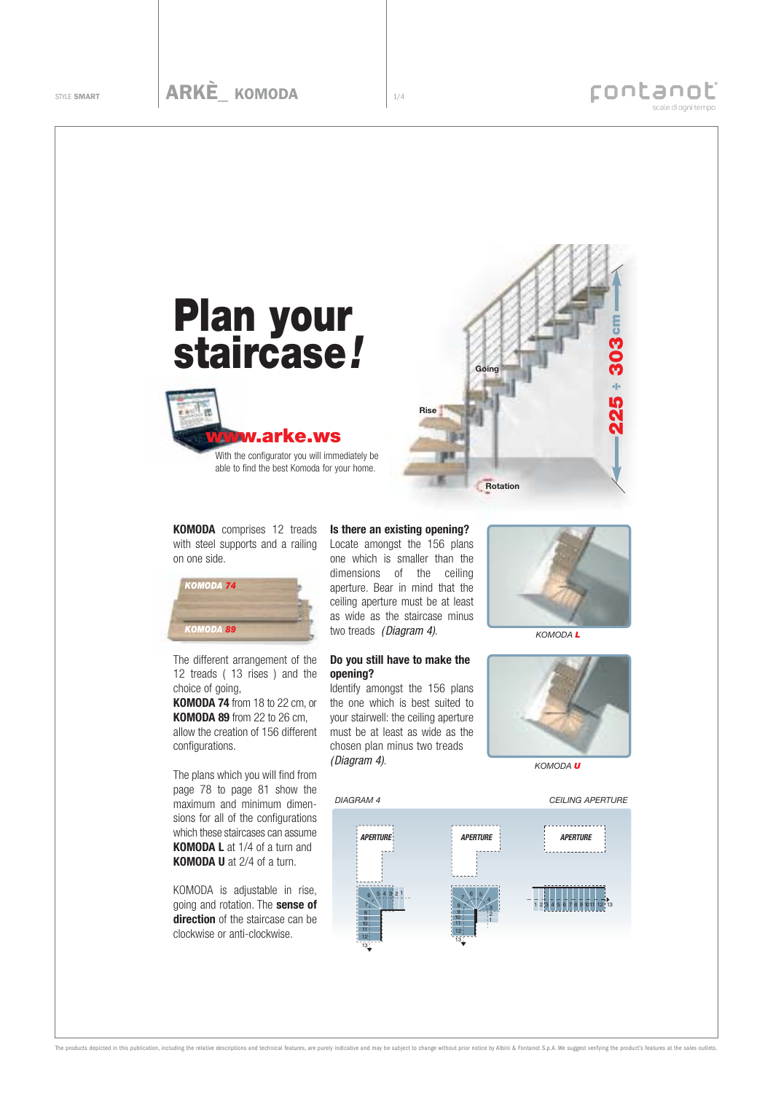

**KOMODA** comprises 12 treads with steel supports and a railing on one side.



The different arrangement of the 12 treads ( 13 rises ) and the choice of going,

**KOMODA 74** from 18 to 22 cm, or **KOMODA 89** from 22 to 26 cm, allow the creation of 156 different configurations.

The plans which you will find from page 78 to page 81 show the maximum and minimum dimensions for all of the configurations which these staircases can assume **KOMODA L** at 1/4 of a turn and **KOMODA U** at 2/4 of a turn.

KOMODA is adjustable in rise, going and rotation. The **sense of direction** of the staircase can be clockwise or anti-clockwise.

## **Is there an existing opening?**

Locate amongst the 156 plans one which is smaller than the dimensions of the ceiling aperture. Bear in mind that the ceiling aperture must be at least as wide as the staircase minus two treads (Diagram 4).

## **Do you still have to make the opening?**

Identify amongst the 156 plans the one which is best suited to your stairwell: the ceiling aperture must be at least as wide as the chosen plan minus two treads (Diagram 4).



*KOMODA L*



*KOMODA U*



The products depicted in this publication, including the relative descriptions and technical features, are purely indicative and may be subject to change without prior notice by Albini & Fontanot S.p.A. We suggest verifyin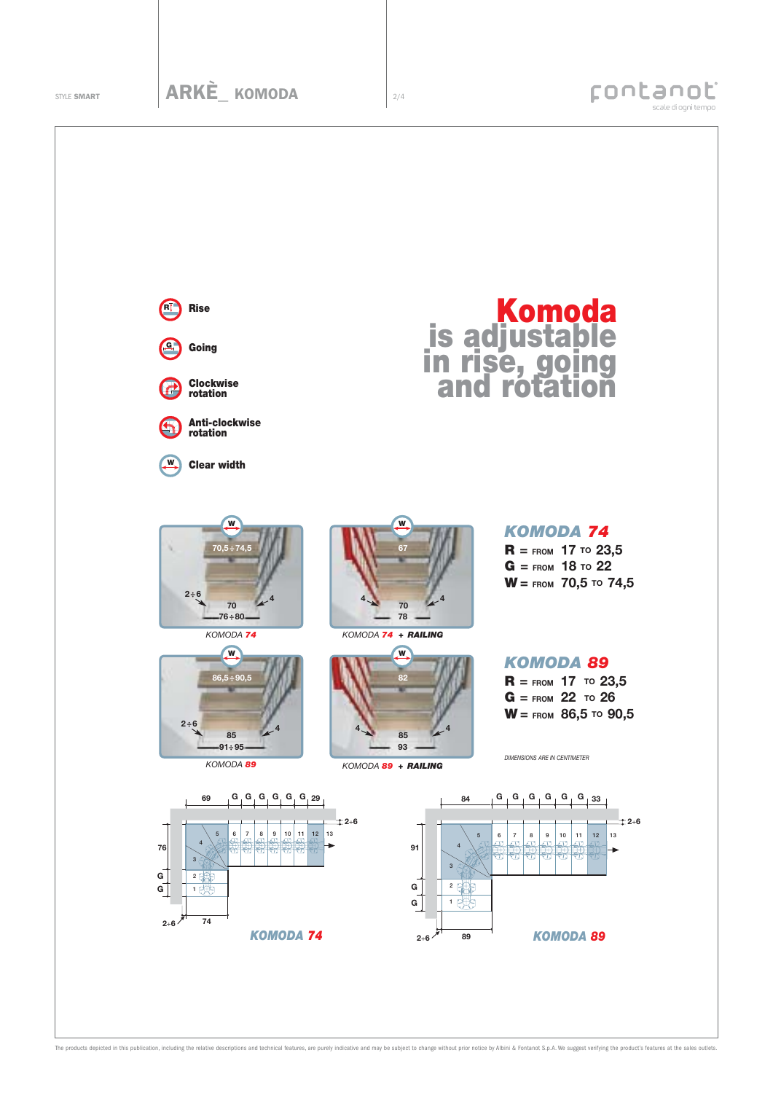

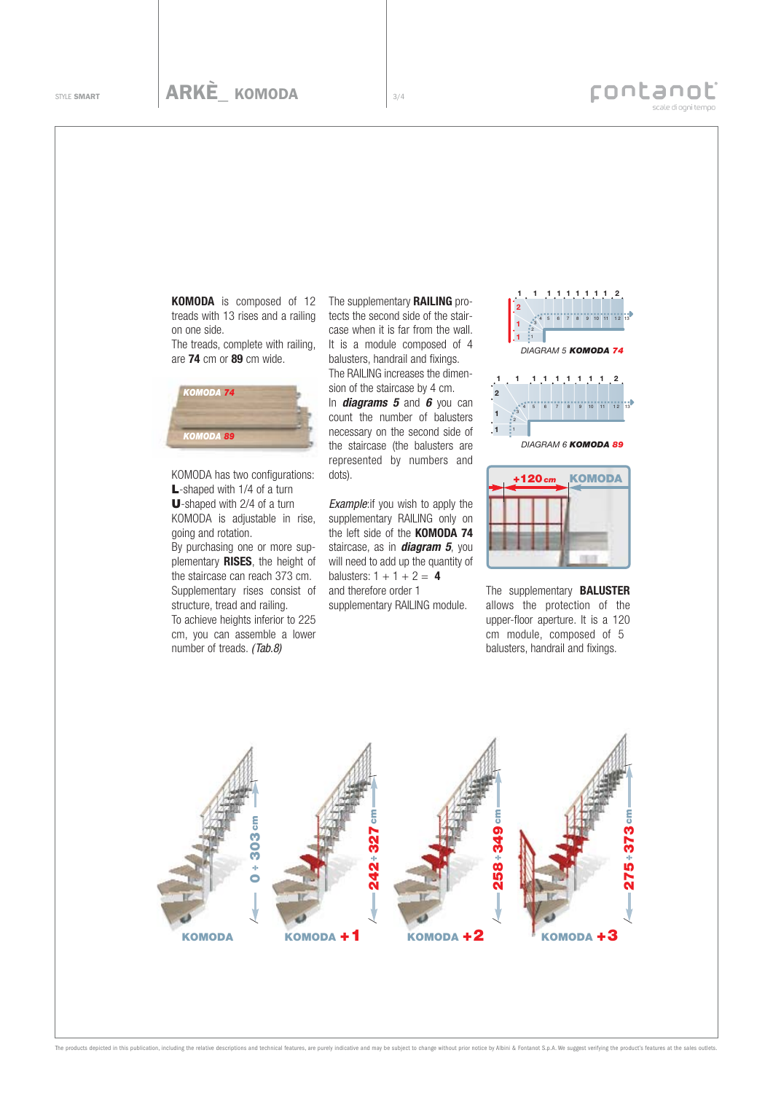treads with 13 rises and a railing on one side. The treads, complete with railing,

are **74** cm or **89** cm wide.



KOMODA has two configurations: **L**-shaped with 1/4 of a turn U-shaped with 2/4 of a turn KOMODA is adjustable in rise, going and rotation.

By purchasing one or more supplementary **RISES**, the height of the staircase can reach 373 cm. Supplementary rises consist of structure, tread and railing. To achieve heights inferior to 225 cm, you can assemble a lower number of treads. (Tab.8)

**KOMODA** is composed of 12 The supplementary **RAILING** protects the second side of the staircase when it is far from the wall. It is a module composed of 4 balusters, handrail and fixings. The RAILING increases the dimension of the staircase by 4 cm. In **diagrams 5** and **6** you can count the number of balusters

necessary on the second side of the staircase (the balusters are represented by numbers and dots).

**Example:** if you wish to apply the supplementary RAILING only on the left side of the **KOMODA 74** staircase, as in **diagram 5**, you will need to add up the quantity of balusters:  $1 + 1 + 2 = 4$ and therefore order 1 supplementary RAILING module.





The supplementary **BALUSTER** allows the protection of the upper-floor aperture. It is a 120 cm module, composed of 5 balusters, handrail and fixings.